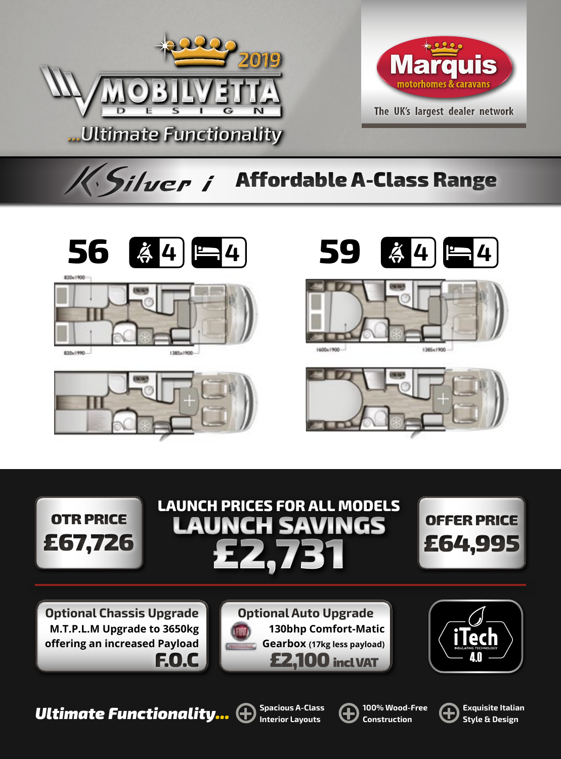



## K. Silver i Affordable A-Class Range







830x1990...













**Optional Chassis Upgrade M.T.P.L.M Upgrade to 3650kg offering an increased Payload** F.O.C





**100% Wood-Free**  $\bigoplus$  Exquisite Italian **Cultimate Functionality...**  $\bigoplus$  Interior Lavouts  $\bigoplus$  Construction  $\bigoplus$  Style & Design





**Style & Design**